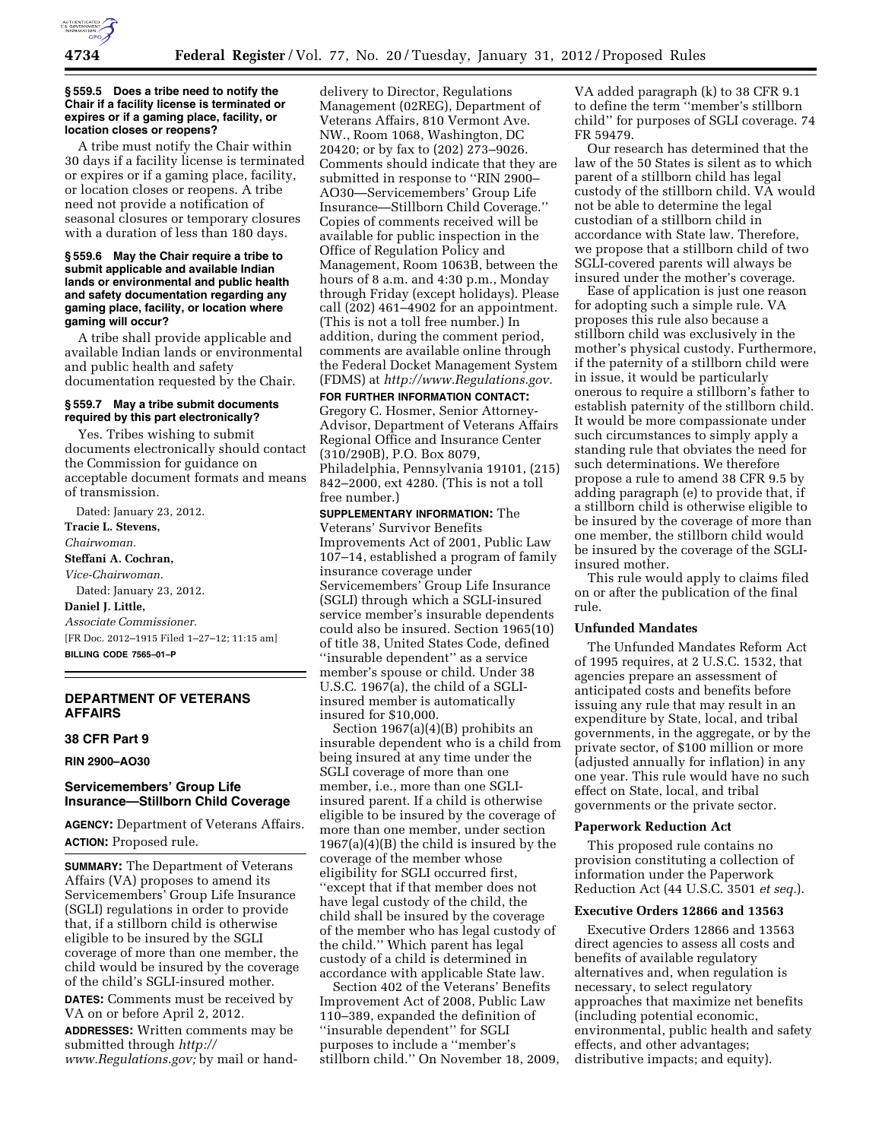

#### **§ 559.5 Does a tribe need to notify the Chair if a facility license is terminated or expires or if a gaming place, facility, or location closes or reopens?**

A tribe must notify the Chair within 30 days if a facility license is terminated or expires or if a gaming place, facility, or location closes or reopens. A tribe need not provide a notification of seasonal closures or temporary closures with a duration of less than 180 days.

#### **§ 559.6 May the Chair require a tribe to submit applicable and available Indian lands or environmental and public health and safety documentation regarding any gaming place, facility, or location where gaming will occur?**

A tribe shall provide applicable and available Indian lands or environmental and public health and safety documentation requested by the Chair.

# **§ 559.7 May a tribe submit documents required by this part electronically?**

Yes. Tribes wishing to submit documents electronically should contact the Commission for guidance on acceptable document formats and means of transmission.

Dated: January 23, 2012. **Tracie L. Stevens,**  *Chairwoman.*  **Steffani A. Cochran,**  *Vice-Chairwoman.*  Dated: January 23, 2012. **Daniel J. Little,**  *Associate Commissioner.*  [FR Doc. 2012–1915 Filed 1–27–12; 11:15 am] **BILLING CODE 7565–01–P** 

# **DEPARTMENT OF VETERANS AFFAIRS**

### **38 CFR Part 9**

**RIN 2900–AO30** 

# **Servicemembers' Group Life Insurance—Stillborn Child Coverage**

**AGENCY:** Department of Veterans Affairs. **ACTION:** Proposed rule.

**SUMMARY:** The Department of Veterans Affairs (VA) proposes to amend its Servicemembers' Group Life Insurance (SGLI) regulations in order to provide that, if a stillborn child is otherwise eligible to be insured by the SGLI coverage of more than one member, the child would be insured by the coverage of the child's SGLI-insured mother.

**DATES:** Comments must be received by VA on or before April 2, 2012*.* 

**ADDRESSES:** Written comments may be submitted through *[http://](http://www.Regulations.gov) [www.Regulations.gov;](http://www.Regulations.gov)* by mail or hand-

delivery to Director, Regulations Management (02REG), Department of Veterans Affairs, 810 Vermont Ave. NW., Room 1068, Washington, DC 20420; or by fax to (202) 273–9026. Comments should indicate that they are submitted in response to ''RIN 2900– AO30—Servicemembers' Group Life Insurance—Stillborn Child Coverage.'' Copies of comments received will be available for public inspection in the Office of Regulation Policy and Management, Room 1063B, between the hours of 8 a.m. and 4:30 p.m., Monday through Friday (except holidays). Please call (202) 461–4902 for an appointment. (This is not a toll free number.) In addition, during the comment period, comments are available online through the Federal Docket Management System (FDMS) at *[http://www.Regulations.gov.](http://www.Regulations.gov)* 

# **FOR FURTHER INFORMATION CONTACT:**

Gregory C. Hosmer, Senior Attorney-Advisor, Department of Veterans Affairs Regional Office and Insurance Center (310/290B), P.O. Box 8079, Philadelphia, Pennsylvania 19101, (215) 842–2000, ext 4280. (This is not a toll free number.)

**SUPPLEMENTARY INFORMATION:** The Veterans' Survivor Benefits Improvements Act of 2001, Public Law 107–14, established a program of family insurance coverage under Servicemembers' Group Life Insurance (SGLI) through which a SGLI-insured service member's insurable dependents could also be insured. Section 1965(10) of title 38, United States Code, defined ''insurable dependent'' as a service member's spouse or child. Under 38 U.S.C. 1967(a), the child of a SGLIinsured member is automatically insured for \$10,000.

Section 1967(a)(4)(B) prohibits an insurable dependent who is a child from being insured at any time under the SGLI coverage of more than one member, i.e., more than one SGLIinsured parent. If a child is otherwise eligible to be insured by the coverage of more than one member, under section 1967(a)(4)(B) the child is insured by the coverage of the member whose eligibility for SGLI occurred first, ''except that if that member does not have legal custody of the child, the child shall be insured by the coverage of the member who has legal custody of the child.'' Which parent has legal custody of a child is determined in accordance with applicable State law.

Section 402 of the Veterans' Benefits Improvement Act of 2008, Public Law 110–389, expanded the definition of ''insurable dependent'' for SGLI purposes to include a ''member's stillborn child.'' On November 18, 2009,

VA added paragraph (k) to 38 CFR 9.1 to define the term ''member's stillborn child'' for purposes of SGLI coverage. 74 FR 59479.

Our research has determined that the law of the 50 States is silent as to which parent of a stillborn child has legal custody of the stillborn child. VA would not be able to determine the legal custodian of a stillborn child in accordance with State law. Therefore, we propose that a stillborn child of two SGLI-covered parents will always be insured under the mother's coverage.

Ease of application is just one reason for adopting such a simple rule. VA proposes this rule also because a stillborn child was exclusively in the mother's physical custody. Furthermore, if the paternity of a stillborn child were in issue, it would be particularly onerous to require a stillborn's father to establish paternity of the stillborn child. It would be more compassionate under such circumstances to simply apply a standing rule that obviates the need for such determinations. We therefore propose a rule to amend 38 CFR 9.5 by adding paragraph (e) to provide that, if a stillborn child is otherwise eligible to be insured by the coverage of more than one member, the stillborn child would be insured by the coverage of the SGLIinsured mother.

This rule would apply to claims filed on or after the publication of the final rule.

### **Unfunded Mandates**

The Unfunded Mandates Reform Act of 1995 requires, at 2 U.S.C. 1532, that agencies prepare an assessment of anticipated costs and benefits before issuing any rule that may result in an expenditure by State, local, and tribal governments, in the aggregate, or by the private sector, of \$100 million or more (adjusted annually for inflation) in any one year. This rule would have no such effect on State, local, and tribal governments or the private sector.

#### **Paperwork Reduction Act**

This proposed rule contains no provision constituting a collection of information under the Paperwork Reduction Act (44 U.S.C. 3501 *et seq.*).

### **Executive Orders 12866 and 13563**

Executive Orders 12866 and 13563 direct agencies to assess all costs and benefits of available regulatory alternatives and, when regulation is necessary, to select regulatory approaches that maximize net benefits (including potential economic, environmental, public health and safety effects, and other advantages; distributive impacts; and equity).